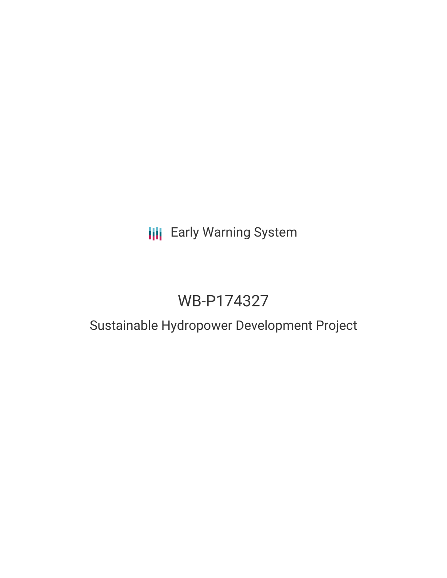# **III** Early Warning System

# WB-P174327

# Sustainable Hydropower Development Project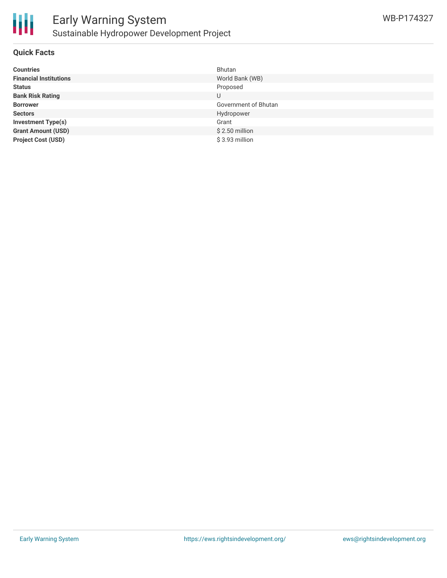

#### **Quick Facts**

| <b>Countries</b>              | Bhutan               |
|-------------------------------|----------------------|
| <b>Financial Institutions</b> | World Bank (WB)      |
| <b>Status</b>                 | Proposed             |
| <b>Bank Risk Rating</b>       | U                    |
| <b>Borrower</b>               | Government of Bhutan |
| <b>Sectors</b>                | Hydropower           |
| <b>Investment Type(s)</b>     | Grant                |
| <b>Grant Amount (USD)</b>     | $$2.50$ million      |
| <b>Project Cost (USD)</b>     | \$3.93 million       |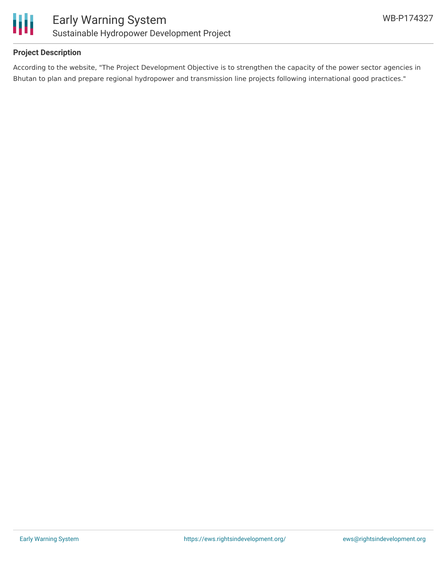

#### **Project Description**

According to the website, "The Project Development Objective is to strengthen the capacity of the power sector agencies in Bhutan to plan and prepare regional hydropower and transmission line projects following international good practices."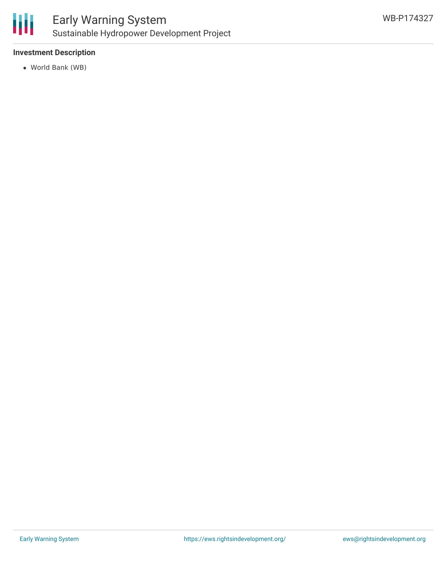

## Early Warning System Sustainable Hydropower Development Project

### **Investment Description**

World Bank (WB)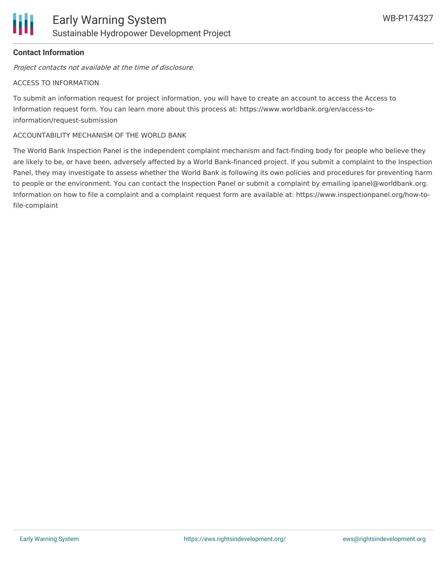### **Contact Information**

Project contacts not available at the time of disclosure.

#### ACCESS TO INFORMATION

To submit an information request for project information, you will have to create an account to access the Access to Information request form. You can learn more about this process at: https://www.worldbank.org/en/access-toinformation/request-submission

#### ACCOUNTABILITY MECHANISM OF THE WORLD BANK

The World Bank Inspection Panel is the independent complaint mechanism and fact-finding body for people who believe they are likely to be, or have been, adversely affected by a World Bank-financed project. If you submit a complaint to the Inspection Panel, they may investigate to assess whether the World Bank is following its own policies and procedures for preventing harm to people or the environment. You can contact the Inspection Panel or submit a complaint by emailing ipanel@worldbank.org. Information on how to file a complaint and a complaint request form are available at: https://www.inspectionpanel.org/how-tofile-complaint